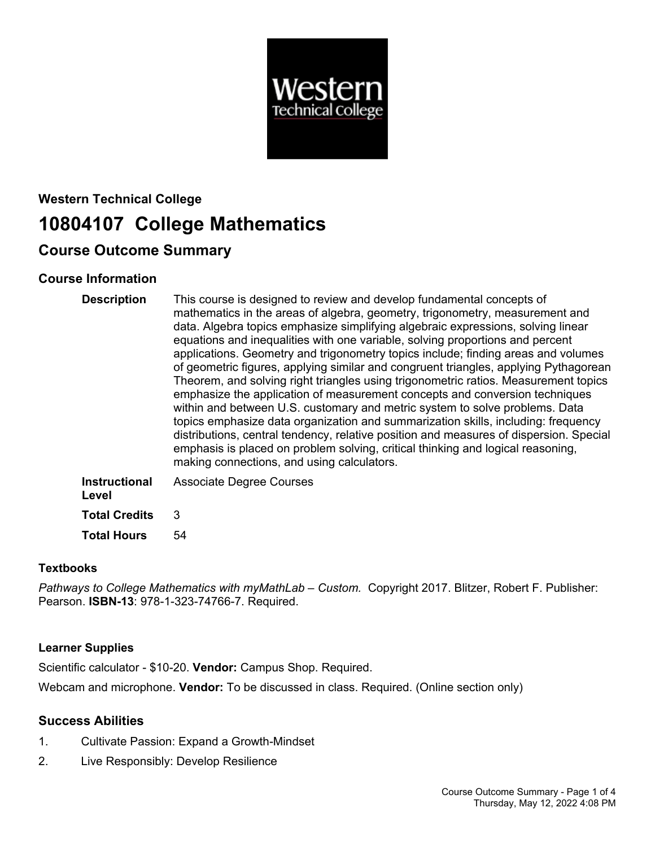

# **Western Technical College 10804107 College Mathematics**

## **Course Outcome Summary**

## **Course Information**

| <b>Description</b>     | This course is designed to review and develop fundamental concepts of<br>mathematics in the areas of algebra, geometry, trigonometry, measurement and<br>data. Algebra topics emphasize simplifying algebraic expressions, solving linear<br>equations and inequalities with one variable, solving proportions and percent<br>applications. Geometry and trigonometry topics include; finding areas and volumes<br>of geometric figures, applying similar and congruent triangles, applying Pythagorean<br>Theorem, and solving right triangles using trigonometric ratios. Measurement topics<br>emphasize the application of measurement concepts and conversion techniques<br>within and between U.S. customary and metric system to solve problems. Data<br>topics emphasize data organization and summarization skills, including: frequency<br>distributions, central tendency, relative position and measures of dispersion. Special<br>emphasis is placed on problem solving, critical thinking and logical reasoning,<br>making connections, and using calculators. |
|------------------------|------------------------------------------------------------------------------------------------------------------------------------------------------------------------------------------------------------------------------------------------------------------------------------------------------------------------------------------------------------------------------------------------------------------------------------------------------------------------------------------------------------------------------------------------------------------------------------------------------------------------------------------------------------------------------------------------------------------------------------------------------------------------------------------------------------------------------------------------------------------------------------------------------------------------------------------------------------------------------------------------------------------------------------------------------------------------------|
| Instructional<br>Level | <b>Associate Degree Courses</b>                                                                                                                                                                                                                                                                                                                                                                                                                                                                                                                                                                                                                                                                                                                                                                                                                                                                                                                                                                                                                                              |
| <b>Total Credits</b>   | 3                                                                                                                                                                                                                                                                                                                                                                                                                                                                                                                                                                                                                                                                                                                                                                                                                                                                                                                                                                                                                                                                            |

**Total Hours** 54

### **Textbooks**

*Pathways to College Mathematics with myMathLab – Custom.* Copyright 2017. Blitzer, Robert F. Publisher: Pearson. **ISBN-13**: 978-1-323-74766-7. Required.

## **Learner Supplies**

Scientific calculator - \$10-20. **Vendor:** Campus Shop. Required.

Webcam and microphone. **Vendor:** To be discussed in class. Required. (Online section only)

## **Success Abilities**

- 1. Cultivate Passion: Expand a Growth-Mindset
- 2. Live Responsibly: Develop Resilience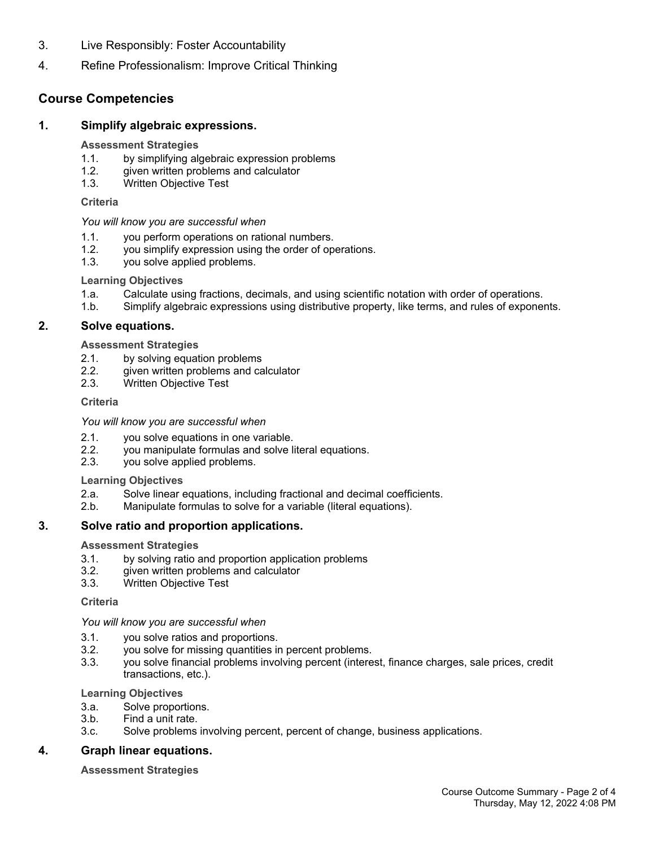- 3. Live Responsibly: Foster Accountability
- 4. Refine Professionalism: Improve Critical Thinking

## **Course Competencies**

#### **1. Simplify algebraic expressions.**

#### **Assessment Strategies**

- 1.1. by simplifying algebraic expression problems
- 1.2. given written problems and calculator
- 1.3. Written Objective Test

#### **Criteria**

#### *You will know you are successful when*

- 1.1. you perform operations on rational numbers.
- 1.2. you simplify expression using the order of operations.
- 1.3. you solve applied problems.

#### **Learning Objectives**

- 1.a. Calculate using fractions, decimals, and using scientific notation with order of operations.
- 1.b. Simplify algebraic expressions using distributive property, like terms, and rules of exponents.

#### **2. Solve equations.**

#### **Assessment Strategies**

- 2.1. by solving equation problems
- 2.2. given written problems and calculator<br>2.3. Written Objective Test
- Written Objective Test

#### **Criteria**

#### *You will know you are successful when*

- 2.1. you solve equations in one variable.
- 2.2. you manipulate formulas and solve literal equations.
- 2.3. you solve applied problems.

#### **Learning Objectives**

- 2.a. Solve linear equations, including fractional and decimal coefficients.
- 2.b. Manipulate formulas to solve for a variable (literal equations).

#### **3. Solve ratio and proportion applications.**

#### **Assessment Strategies**

- 3.1. by solving ratio and proportion application problems
- 3.2. given written problems and calculator
- 3.3. Written Objective Test

#### **Criteria**

#### *You will know you are successful when*

- 3.1. you solve ratios and proportions.
- 3.2. you solve for missing quantities in percent problems.
- 3.3. you solve financial problems involving percent (interest, finance charges, sale prices, credit transactions, etc.).

#### **Learning Objectives**

- 3.a. Solve proportions.
- 3.b. Find a unit rate.
- 3.c. Solve problems involving percent, percent of change, business applications.

#### **4. Graph linear equations.**

#### **Assessment Strategies**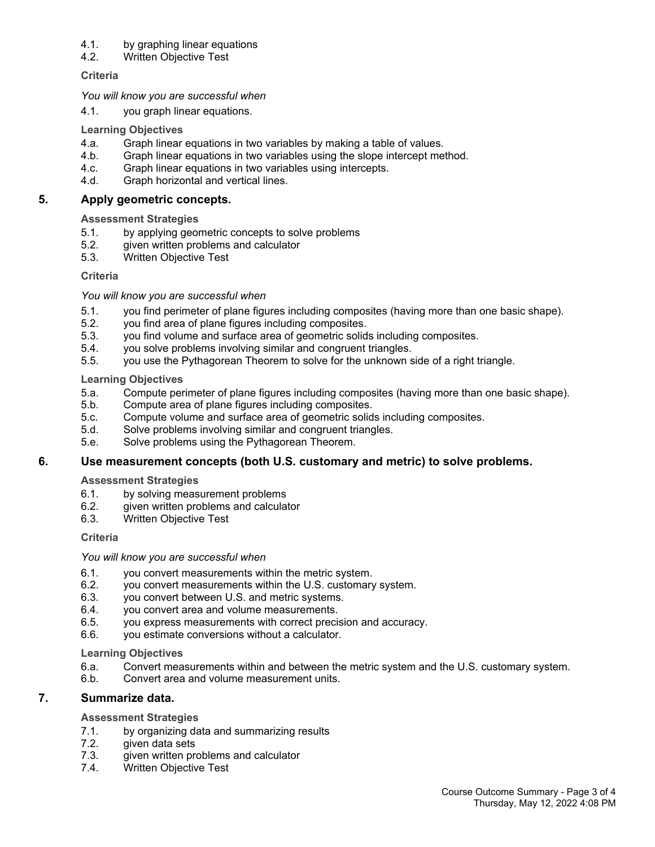#### 4.1. by graphing linear equations

4.2. Written Objective Test

#### **Criteria**

*You will know you are successful when*

4.1. you graph linear equations.

#### **Learning Objectives**

- 4.a. Graph linear equations in two variables by making a table of values.
- 4.b. Graph linear equations in two variables using the slope intercept method.
- 4.c. Graph linear equations in two variables using intercepts.
- 4.d. Graph horizontal and vertical lines.

#### **5. Apply geometric concepts.**

#### **Assessment Strategies**

- 5.1. by applying geometric concepts to solve problems
- 5.2. given written problems and calculator
- 5.3. Written Objective Test

#### **Criteria**

#### *You will know you are successful when*

- 5.1. you find perimeter of plane figures including composites (having more than one basic shape).
- 5.2. you find area of plane figures including composites.
- 5.3. you find volume and surface area of geometric solids including composites.
- 5.4. you solve problems involving similar and congruent triangles.
- 5.5. you use the Pythagorean Theorem to solve for the unknown side of a right triangle.

#### **Learning Objectives**

- 5.a. Compute perimeter of plane figures including composites (having more than one basic shape).
- 5.b. Compute area of plane figures including composites.
- 5.c. Compute volume and surface area of geometric solids including composites.
- 5.d. Solve problems involving similar and congruent triangles.
- 5.e. Solve problems using the Pythagorean Theorem.

#### **6. Use measurement concepts (both U.S. customary and metric) to solve problems.**

#### **Assessment Strategies**

- 6.1. by solving measurement problems
- 6.2. given written problems and calculator<br>6.3. Written Obiective Test
- Written Objective Test

#### **Criteria**

#### *You will know you are successful when*

- 6.1. you convert measurements within the metric system.
- 6.2. you convert measurements within the U.S. customary system.
- 6.3. you convert between U.S. and metric systems.
- 6.4. you convert area and volume measurements.
- 6.5. you express measurements with correct precision and accuracy.
- 6.6. you estimate conversions without a calculator.

#### **Learning Objectives**

- 6.a. Convert measurements within and between the metric system and the U.S. customary system.
- 6.b. Convert area and volume measurement units.

#### **7. Summarize data.**

#### **Assessment Strategies**

- 7.1. by organizing data and summarizing results
- 7.2. given data sets
- 7.3. given written problems and calculator
- 7.4. Written Objective Test